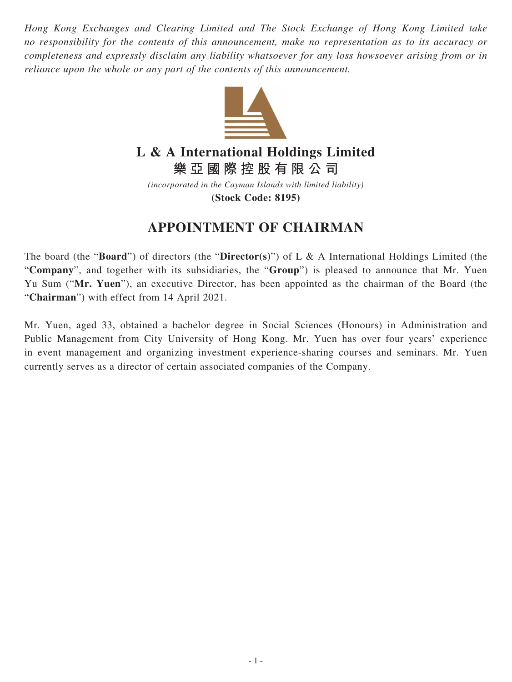*Hong Kong Exchanges and Clearing Limited and The Stock Exchange of Hong Kong Limited take no responsibility for the contents of this announcement, make no representation as to its accuracy or completeness and expressly disclaim any liability whatsoever for any loss howsoever arising from or in reliance upon the whole or any part of the contents of this announcement.*



## **L & A International Holdings Limited**

**樂亞國際控股有限公司**

*(incorporated in the Cayman Islands with limited liability)* **(Stock Code: 8195)**

## **APPOINTMENT OF CHAIRMAN**

The board (the "**Board**") of directors (the "**Director(s)**") of L & A International Holdings Limited (the "**Company**", and together with its subsidiaries, the "**Group**") is pleased to announce that Mr. Yuen Yu Sum ("**Mr. Yuen**"), an executive Director, has been appointed as the chairman of the Board (the "**Chairman**") with effect from 14 April 2021.

Mr. Yuen, aged 33, obtained a bachelor degree in Social Sciences (Honours) in Administration and Public Management from City University of Hong Kong. Mr. Yuen has over four years' experience in event management and organizing investment experience-sharing courses and seminars. Mr. Yuen currently serves as a director of certain associated companies of the Company.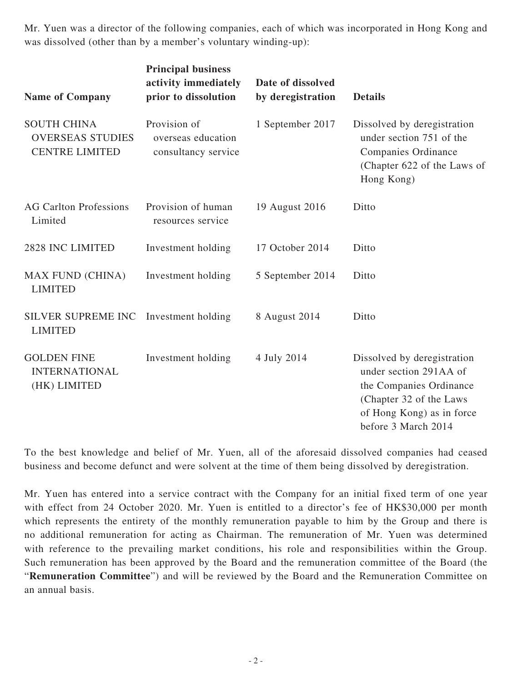Mr. Yuen was a director of the following companies, each of which was incorporated in Hong Kong and was dissolved (other than by a member's voluntary winding-up):

| <b>Name of Company</b>                                                 | <b>Principal business</b><br>activity immediately<br>prior to dissolution | Date of dissolved<br>by deregistration | <b>Details</b>                                                                                                                                                  |
|------------------------------------------------------------------------|---------------------------------------------------------------------------|----------------------------------------|-----------------------------------------------------------------------------------------------------------------------------------------------------------------|
| <b>SOUTH CHINA</b><br><b>OVERSEAS STUDIES</b><br><b>CENTRE LIMITED</b> | Provision of<br>overseas education<br>consultancy service                 | 1 September 2017                       | Dissolved by deregistration<br>under section 751 of the<br>Companies Ordinance<br>(Chapter 622 of the Laws of<br>Hong Kong)                                     |
| <b>AG Carlton Professions</b><br>Limited                               | Provision of human<br>resources service                                   | 19 August 2016                         | Ditto                                                                                                                                                           |
| 2828 INC LIMITED                                                       | Investment holding                                                        | 17 October 2014                        | Ditto                                                                                                                                                           |
| <b>MAX FUND (CHINA)</b><br><b>LIMITED</b>                              | Investment holding                                                        | 5 September 2014                       | Ditto                                                                                                                                                           |
| <b>SILVER SUPREME INC</b><br><b>LIMITED</b>                            | Investment holding                                                        | 8 August 2014                          | Ditto                                                                                                                                                           |
| <b>GOLDEN FINE</b><br><b>INTERNATIONAL</b><br>(HK) LIMITED             | Investment holding                                                        | 4 July 2014                            | Dissolved by deregistration<br>under section 291AA of<br>the Companies Ordinance<br>(Chapter 32 of the Laws<br>of Hong Kong) as in force<br>before 3 March 2014 |

To the best knowledge and belief of Mr. Yuen, all of the aforesaid dissolved companies had ceased business and become defunct and were solvent at the time of them being dissolved by deregistration.

Mr. Yuen has entered into a service contract with the Company for an initial fixed term of one year with effect from 24 October 2020. Mr. Yuen is entitled to a director's fee of HK\$30,000 per month which represents the entirety of the monthly remuneration payable to him by the Group and there is no additional remuneration for acting as Chairman. The remuneration of Mr. Yuen was determined with reference to the prevailing market conditions, his role and responsibilities within the Group. Such remuneration has been approved by the Board and the remuneration committee of the Board (the "**Remuneration Committee**") and will be reviewed by the Board and the Remuneration Committee on an annual basis.